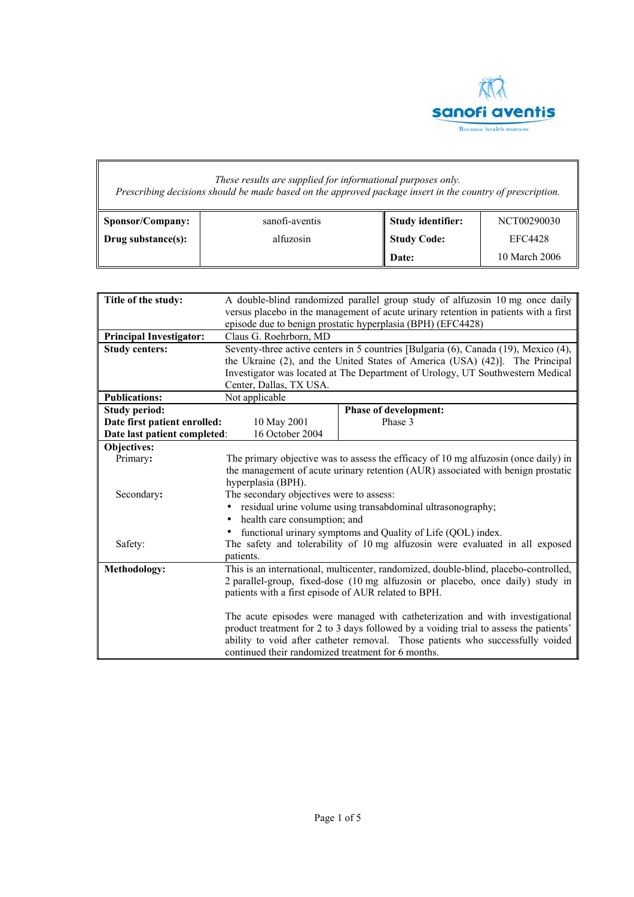

## *These results are supplied for informational purposes only. Prescribing decisions should be made based on the approved package insert in the country of prescription.*

| Sponsor/Company:   | sanofi-aventis | Study identifier: | NCT00290030    |
|--------------------|----------------|-------------------|----------------|
| Drug substance(s): | alfuzosin      | Study Code:       | <b>EFC4428</b> |
|                    |                | Date:             | 10 March 2006  |

| A double-blind randomized parallel group study of alfuzosin 10 mg once daily          |                                                                                                                                                      |  |
|---------------------------------------------------------------------------------------|------------------------------------------------------------------------------------------------------------------------------------------------------|--|
| versus placebo in the management of acute urinary retention in patients with a first  |                                                                                                                                                      |  |
| episode due to benign prostatic hyperplasia (BPH) (EFC4428)                           |                                                                                                                                                      |  |
|                                                                                       |                                                                                                                                                      |  |
|                                                                                       | Seventy-three active centers in 5 countries [Bulgaria (6), Canada (19), Mexico (4),                                                                  |  |
|                                                                                       | the Ukraine (2), and the United States of America (USA) (42)]. The Principal                                                                         |  |
|                                                                                       | Investigator was located at The Department of Urology, UT Southwestern Medical                                                                       |  |
| Center, Dallas, TX USA.                                                               |                                                                                                                                                      |  |
|                                                                                       |                                                                                                                                                      |  |
|                                                                                       | <b>Phase of development:</b>                                                                                                                         |  |
| 10 May 2001                                                                           | Phase 3                                                                                                                                              |  |
| 16 October 2004                                                                       |                                                                                                                                                      |  |
|                                                                                       |                                                                                                                                                      |  |
|                                                                                       | The primary objective was to assess the efficacy of 10 mg alfuzosin (once daily) in                                                                  |  |
|                                                                                       | the management of acute urinary retention (AUR) associated with benign prostatic                                                                     |  |
| hyperplasia (BPH).                                                                    |                                                                                                                                                      |  |
|                                                                                       |                                                                                                                                                      |  |
|                                                                                       | residual urine volume using transabdominal ultrasonography;                                                                                          |  |
| health care consumption; and                                                          |                                                                                                                                                      |  |
| functional urinary symptoms and Quality of Life (QOL) index.                          |                                                                                                                                                      |  |
|                                                                                       | The safety and tolerability of 10 mg alfuzosin were evaluated in all exposed                                                                         |  |
| patients.                                                                             |                                                                                                                                                      |  |
|                                                                                       | This is an international, multicenter, randomized, double-blind, placebo-controlled,                                                                 |  |
| 2 parallel-group, fixed-dose (10 mg alfuzosin or placebo, once daily) study in        |                                                                                                                                                      |  |
| patients with a first episode of AUR related to BPH.                                  |                                                                                                                                                      |  |
|                                                                                       |                                                                                                                                                      |  |
| The acute episodes were managed with catheterization and with investigational         |                                                                                                                                                      |  |
| product treatment for 2 to 3 days followed by a voiding trial to assess the patients' |                                                                                                                                                      |  |
| ability to void after catheter removal. Those patients who successfully voided        |                                                                                                                                                      |  |
| continued their randomized treatment for 6 months.                                    |                                                                                                                                                      |  |
|                                                                                       | Claus G. Roehrborn, MD<br>Not applicable<br>Date first patient enrolled:<br>Date last patient completed:<br>The secondary objectives were to assess: |  |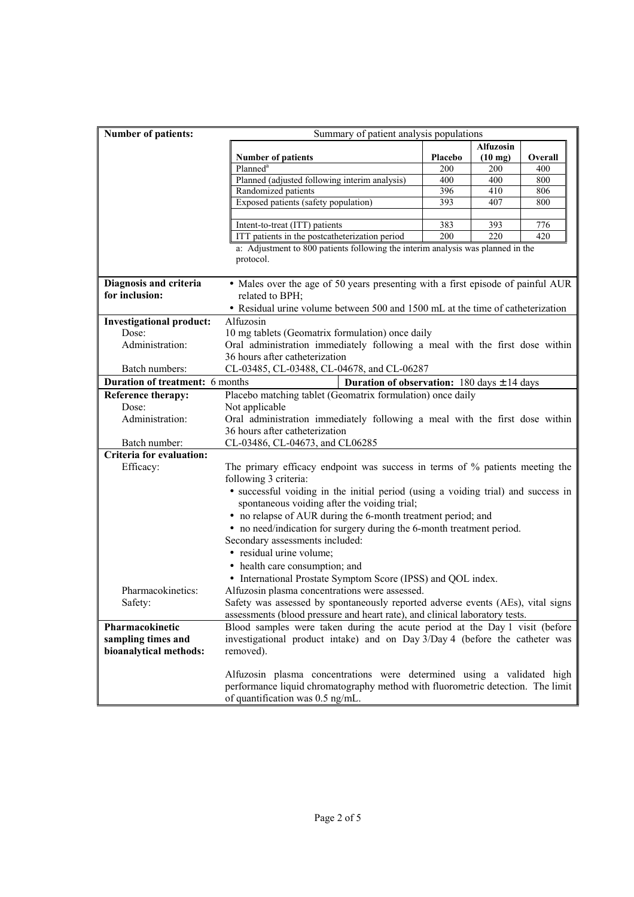| <b>Number of patients:</b>      | Summary of patient analysis populations                                           |         |                   |         |
|---------------------------------|-----------------------------------------------------------------------------------|---------|-------------------|---------|
|                                 | <b>Alfuzosin</b>                                                                  |         |                   |         |
|                                 | <b>Number of patients</b>                                                         | Placebo | $(10 \text{ mg})$ | Overall |
|                                 | Planned <sup>a</sup>                                                              | 200     | 200               | 400     |
|                                 | Planned (adjusted following interim analysis)                                     | 400     | 400               | 800     |
|                                 | Randomized patients                                                               | 396     | 410               | 806     |
|                                 | Exposed patients (safety population)                                              | 393     | 407               | 800     |
|                                 |                                                                                   |         |                   |         |
|                                 | Intent-to-treat (ITT) patients                                                    | 383     | 393               | 776     |
|                                 | ITT patients in the postcatheterization period                                    | 200     | 220               | 420     |
|                                 | a: Adjustment to 800 patients following the interim analysis was planned in the   |         |                   |         |
|                                 | protocol.                                                                         |         |                   |         |
|                                 |                                                                                   |         |                   |         |
| Diagnosis and criteria          | • Males over the age of 50 years presenting with a first episode of painful AUR   |         |                   |         |
| for inclusion:                  | related to BPH;                                                                   |         |                   |         |
|                                 | • Residual urine volume between 500 and 1500 mL at the time of catheterization    |         |                   |         |
| <b>Investigational product:</b> | Alfuzosin                                                                         |         |                   |         |
| Dose:                           | 10 mg tablets (Geomatrix formulation) once daily                                  |         |                   |         |
| Administration:                 | Oral administration immediately following a meal with the first dose within       |         |                   |         |
|                                 | 36 hours after catheterization                                                    |         |                   |         |
| Batch numbers:                  | CL-03485, CL-03488, CL-04678, and CL-06287                                        |         |                   |         |
| Duration of treatment: 6 months | <b>Duration of observation:</b> 180 days $\pm$ 14 days                            |         |                   |         |
| <b>Reference therapy:</b>       | Placebo matching tablet (Geomatrix formulation) once daily                        |         |                   |         |
| Dose:                           | Not applicable                                                                    |         |                   |         |
| Administration:                 | Oral administration immediately following a meal with the first dose within       |         |                   |         |
|                                 | 36 hours after catheterization                                                    |         |                   |         |
| Batch number:                   | CL-03486, CL-04673, and CL06285                                                   |         |                   |         |
| Criteria for evaluation:        |                                                                                   |         |                   |         |
| Efficacy:                       | The primary efficacy endpoint was success in terms of % patients meeting the      |         |                   |         |
|                                 | following 3 criteria:                                                             |         |                   |         |
|                                 | • successful voiding in the initial period (using a voiding trial) and success in |         |                   |         |
|                                 | spontaneous voiding after the voiding trial;                                      |         |                   |         |
|                                 | • no relapse of AUR during the 6-month treatment period; and                      |         |                   |         |
|                                 |                                                                                   |         |                   |         |
|                                 | • no need/indication for surgery during the 6-month treatment period.             |         |                   |         |
|                                 | Secondary assessments included:                                                   |         |                   |         |
|                                 | · residual urine volume;                                                          |         |                   |         |
|                                 | • health care consumption; and                                                    |         |                   |         |
|                                 | • International Prostate Symptom Score (IPSS) and QOL index.                      |         |                   |         |
| Pharmacokinetics:               | Alfuzosin plasma concentrations were assessed.                                    |         |                   |         |
| Safety:                         | Safety was assessed by spontaneously reported adverse events (AEs), vital signs   |         |                   |         |
|                                 | assessments (blood pressure and heart rate), and clinical laboratory tests.       |         |                   |         |
| Pharmacokinetic                 | Blood samples were taken during the acute period at the Day 1 visit (before       |         |                   |         |
| sampling times and              | investigational product intake) and on Day 3/Day 4 (before the catheter was       |         |                   |         |
| bioanalytical methods:          | removed).                                                                         |         |                   |         |
|                                 |                                                                                   |         |                   |         |
|                                 | Alfuzosin plasma concentrations were determined using a validated high            |         |                   |         |
|                                 | performance liquid chromatography method with fluorometric detection. The limit   |         |                   |         |
|                                 | of quantification was 0.5 ng/mL.                                                  |         |                   |         |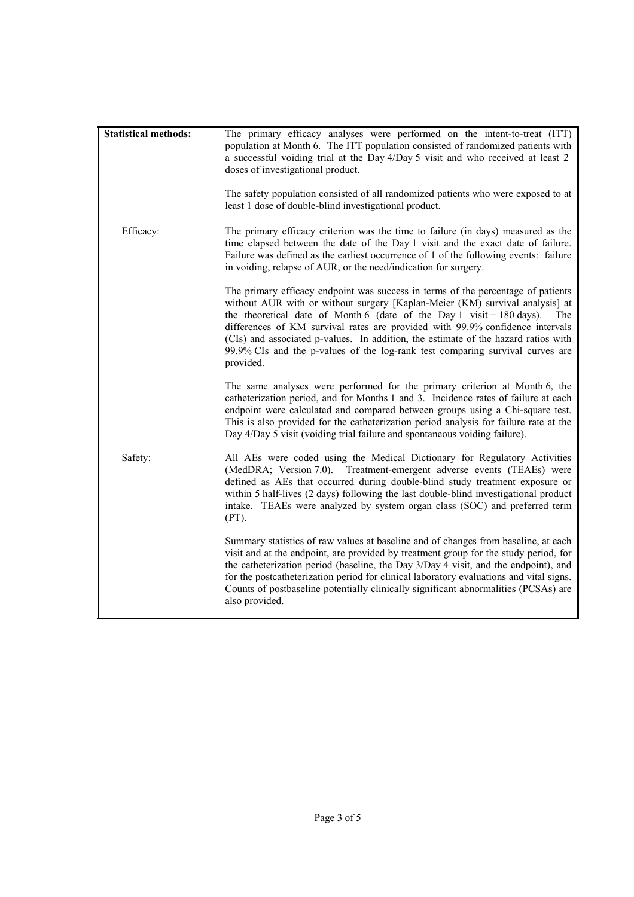| <b>Statistical methods:</b> | The primary efficacy analyses were performed on the intent-to-treat (ITT)<br>population at Month 6. The ITT population consisted of randomized patients with<br>a successful voiding trial at the Day 4/Day 5 visit and who received at least 2<br>doses of investigational product.<br>The safety population consisted of all randomized patients who were exposed to at<br>least 1 dose of double-blind investigational product.                                                                                    |
|-----------------------------|-----------------------------------------------------------------------------------------------------------------------------------------------------------------------------------------------------------------------------------------------------------------------------------------------------------------------------------------------------------------------------------------------------------------------------------------------------------------------------------------------------------------------|
| Efficacy:                   | The primary efficacy criterion was the time to failure (in days) measured as the<br>time elapsed between the date of the Day 1 visit and the exact date of failure.<br>Failure was defined as the earliest occurrence of 1 of the following events: failure<br>in voiding, relapse of AUR, or the need/indication for surgery.                                                                                                                                                                                        |
|                             | The primary efficacy endpoint was success in terms of the percentage of patients<br>without AUR with or without surgery [Kaplan-Meier (KM) survival analysis] at<br>the theoretical date of Month 6 (date of the Day 1 visit + 180 days).<br>The<br>differences of KM survival rates are provided with 99.9% confidence intervals<br>(CIs) and associated p-values. In addition, the estimate of the hazard ratios with<br>99.9% CIs and the p-values of the log-rank test comparing survival curves are<br>provided. |
|                             | The same analyses were performed for the primary criterion at Month 6, the<br>catheterization period, and for Months 1 and 3. Incidence rates of failure at each<br>endpoint were calculated and compared between groups using a Chi-square test.<br>This is also provided for the catheterization period analysis for failure rate at the<br>Day 4/Day 5 visit (voiding trial failure and spontaneous voiding failure).                                                                                              |
| Safety:                     | All AEs were coded using the Medical Dictionary for Regulatory Activities<br>(MedDRA; Version 7.0). Treatment-emergent adverse events (TEAEs) were<br>defined as AEs that occurred during double-blind study treatment exposure or<br>within 5 half-lives (2 days) following the last double-blind investigational product<br>intake. TEAEs were analyzed by system organ class (SOC) and preferred term<br>(PT).                                                                                                     |
|                             | Summary statistics of raw values at baseline and of changes from baseline, at each<br>visit and at the endpoint, are provided by treatment group for the study period, for<br>the catheterization period (baseline, the Day 3/Day 4 visit, and the endpoint), and<br>for the postcatheterization period for clinical laboratory evaluations and vital signs.<br>Counts of postbaseline potentially clinically significant abnormalities (PCSAs) are<br>also provided.                                                 |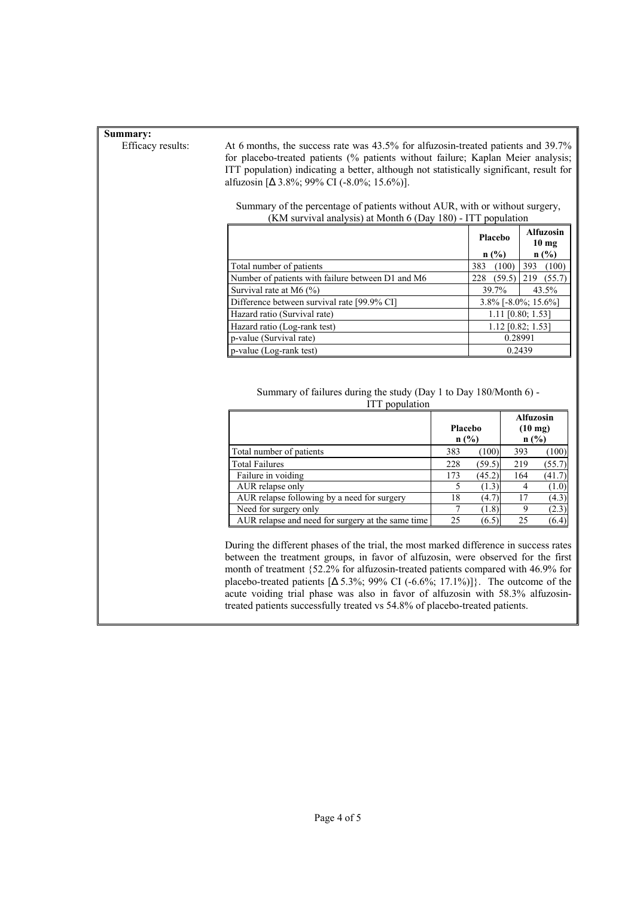## **Summary:**

Efficacy results: At 6 months, the success rate was 43.5% for alfuzosin-treated patients and 39.7% for placebo-treated patients (% patients without failure; Kaplan Meier analysis; ITT population) indicating a better, although not statistically significant, result for alfuzosin [∆ 3.8%; 99% CI (-8.0%; 15.6%)].

> Summary of the percentage of patients without AUR, with or without surgery, (KM survival analysis) at Month 6 (Day 180) - ITT population

|                                                   | Placebo                | <b>Alfuzosin</b><br>10 <sub>mg</sub> |  |
|---------------------------------------------------|------------------------|--------------------------------------|--|
|                                                   | n(%)                   | n(%)                                 |  |
| Total number of patients                          | (100)<br>383           | 393<br>(100)                         |  |
| Number of patients with failure between D1 and M6 | (59.5)<br>228          | 219<br>(55.7)                        |  |
| Survival rate at M6 $(\% )$                       | 39.7%                  | 43.5%                                |  |
| Difference between survival rate [99.9% CI]       | $3.8\%$ [-8.0%; 15.6%] |                                      |  |
| Hazard ratio (Survival rate)                      | $1.11$ [0.80; 1.53]    |                                      |  |
| Hazard ratio (Log-rank test)                      | $1.12$ [0.82; 1.53]    |                                      |  |
| p-value (Survival rate)                           | 0.28991                |                                      |  |
| p-value (Log-rank test)                           | 0.2439                 |                                      |  |

 Summary of failures during the study (Day 1 to Day 180/Month 6) - ITT population

|                                                   | Placebo<br>n(%) |        | <b>Alfuzosin</b><br>$(10 \text{ mg})$<br>n(%) |        |
|---------------------------------------------------|-----------------|--------|-----------------------------------------------|--------|
| Total number of patients                          | 383             | (100)  | 393                                           | (100)  |
| <b>Total Failures</b>                             | 228             | (59.5) | 219                                           | (55.7) |
| Failure in voiding                                | 173             | (45.2) | 164                                           | (41.7) |
| AUR relapse only                                  |                 | (1.3)  |                                               | (1.0)  |
| AUR relapse following by a need for surgery       | 18              | (4.7)  | 17                                            | (4.3)  |
| Need for surgery only                             |                 | (1.8)  |                                               | (2.3)  |
| AUR relapse and need for surgery at the same time | 25              | (6.5)  | 25                                            | (6.4)  |

 During the different phases of the trial, the most marked difference in success rates between the treatment groups, in favor of alfuzosin, were observed for the first month of treatment {52.2% for alfuzosin-treated patients compared with 46.9% for placebo-treated patients  $[\Delta 5.3\%; 99\% \text{ CI } (-6.6\%; 17.1\%)]$ . The outcome of the acute voiding trial phase was also in favor of alfuzosin with 58.3% alfuzosintreated patients successfully treated vs 54.8% of placebo-treated patients.